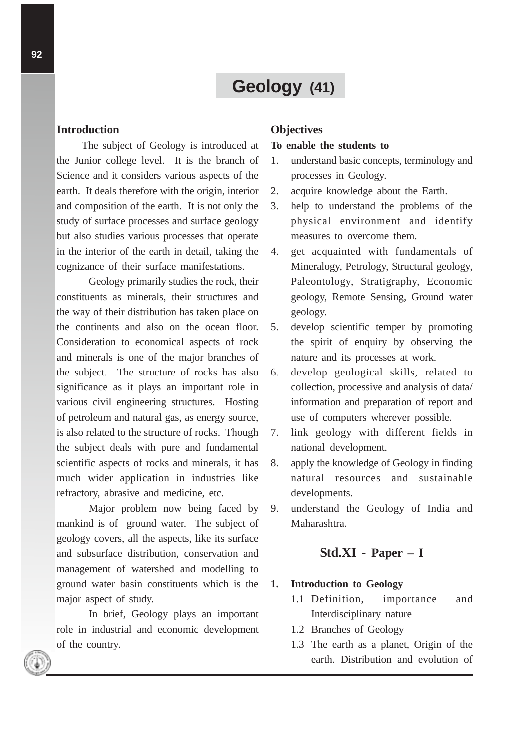# **Geology (41)**

#### **Introduction**

The subject of Geology is introduced at the Junior college level. It is the branch of Science and it considers various aspects of the earth. It deals therefore with the origin, interior and composition of the earth. It is not only the study of surface processes and surface geology but also studies various processes that operate in the interior of the earth in detail, taking the cognizance of their surface manifestations.

Geology primarily studies the rock, their constituents as minerals, their structures and the way of their distribution has taken place on the continents and also on the ocean floor. Consideration to economical aspects of rock and minerals is one of the major branches of the subject. The structure of rocks has also significance as it plays an important role in various civil engineering structures. Hosting of petroleum and natural gas, as energy source, is also related to the structure of rocks. Though the subject deals with pure and fundamental scientific aspects of rocks and minerals, it has much wider application in industries like refractory, abrasive and medicine, etc.

Major problem now being faced by mankind is of ground water. The subject of geology covers, all the aspects, like its surface and subsurface distribution, conservation and management of watershed and modelling to ground water basin constituents which is the major aspect of study.

In brief, Geology plays an important role in industrial and economic development of the country.

## **Objectives**

#### **To enable the students to**

- 1. understand basic concepts, terminology and processes in Geology.
- 2. acquire knowledge about the Earth.
- 3. help to understand the problems of the physical environment and identify measures to overcome them.
- 4. get acquainted with fundamentals of Mineralogy, Petrology, Structural geology, Paleontology, Stratigraphy, Economic geology, Remote Sensing, Ground water geology.
- 5. develop scientific temper by promoting the spirit of enquiry by observing the nature and its processes at work.
- 6. develop geological skills, related to collection, processive and analysis of data/ information and preparation of report and use of computers wherever possible.
- 7. link geology with different fields in national development.
- 8. apply the knowledge of Geology in finding natural resources and sustainable developments.
- 9. understand the Geology of India and Maharashtra.

# **Std.XI - Paper – I**

#### **1. Introduction to Geology**

- 1.1 Definition, importance and Interdisciplinary nature
- 1.2 Branches of Geology
- 1.3 The earth as a planet, Origin of the earth. Distribution and evolution of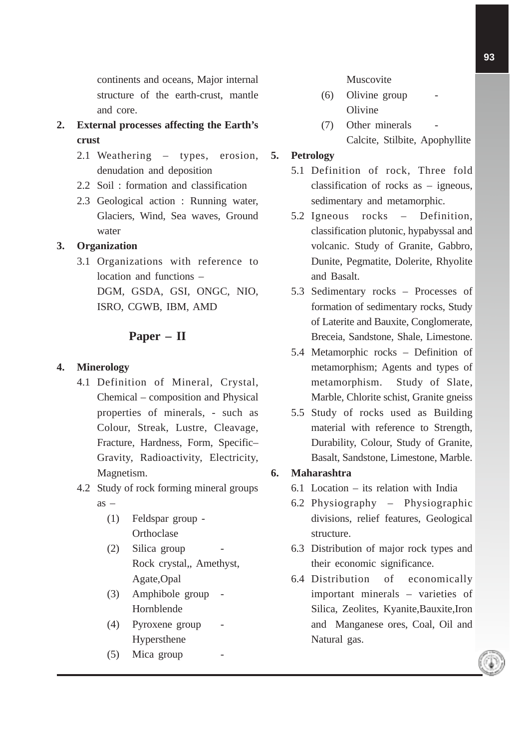continents and oceans, Major internal structure of the earth-crust, mantle and core.

- **2. External processes affecting the Earth's crust**
	- 2.1 Weathering types, erosion, denudation and deposition
	- 2.2 Soil : formation and classification
	- 2.3 Geological action : Running water, Glaciers, Wind, Sea waves, Ground water

# **3. Organization**

3.1 Organizations with reference to location and functions – DGM, GSDA, GSI, ONGC, NIO, ISRO, CGWB, IBM, AMD

# **Paper – II**

# **4. Minerology**

- 4.1 Definition of Mineral, Crystal, Chemical – composition and Physical properties of minerals, - such as Colour, Streak, Lustre, Cleavage, Fracture, Hardness, Form, Specific– Gravity, Radioactivity, Electricity, Magnetism.
- 4.2 Study of rock forming mineral groups  $as -$ 
	- (1) Feldspar group **Orthoclase**
	- $(2)$  Silica group Rock crystal,, Amethyst, Agate,Opal
	- (3) Amphibole group Hornblende
	- (4) Pyroxene group Hypersthene
	- $(5)$  Mica group

#### Muscovite

- $(6)$  Olivine group Olivine
- (7) Other minerals Calcite, Stilbite, Apophyllite

# **5. Petrology**

- 5.1 Definition of rock, Three fold classification of rocks as – igneous, sedimentary and metamorphic.
- 5.2 Igneous rocks Definition, classification plutonic, hypabyssal and volcanic. Study of Granite, Gabbro, Dunite, Pegmatite, Dolerite, Rhyolite and Basalt.
- 5.3 Sedimentary rocks Processes of formation of sedimentary rocks, Study of Laterite and Bauxite, Conglomerate, Breceia, Sandstone, Shale, Limestone.
- 5.4 Metamorphic rocks Definition of metamorphism; Agents and types of metamorphism. Study of Slate, Marble, Chlorite schist, Granite gneiss
- 5.5 Study of rocks used as Building material with reference to Strength, Durability, Colour, Study of Granite, Basalt, Sandstone, Limestone, Marble.

# **6. Maharashtra**

- 6.1 Location its relation with India
- 6.2 Physiography Physiographic divisions, relief features, Geological structure.
- 6.3 Distribution of major rock types and their economic significance.
- 6.4 Distribution of economically important minerals – varieties of Silica, Zeolites, Kyanite,Bauxite,Iron and Manganese ores, Coal, Oil and Natural gas.

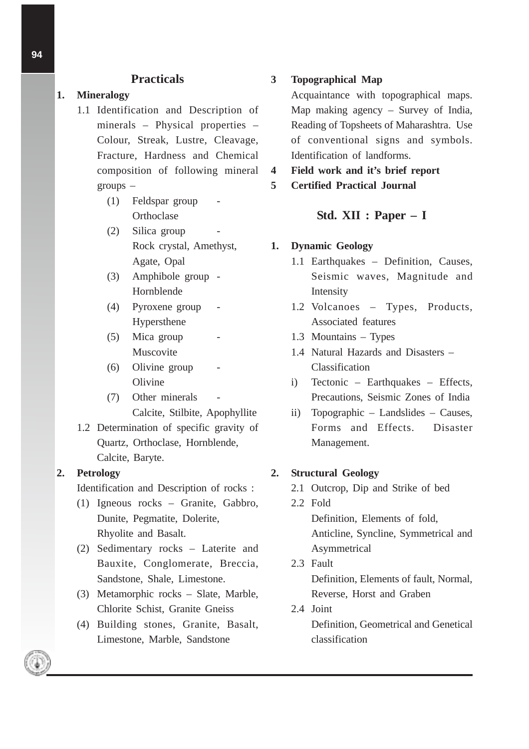### **Practicals**

#### **1. Mineralogy**

- 1.1 Identification and Description of minerals – Physical properties – Colour, Streak, Lustre, Cleavage, Fracture, Hardness and Chemical composition of following mineral groups –
	- $(1)$  Feldspar group **Orthoclase**
	- $(2)$  Silica group Rock crystal, Amethyst, Agate, Opal
	- (3) Amphibole group Hornblende
	- (4) Pyroxene group Hypersthene
	- (5) Mica group Muscovite
	- (6) Olivine group **Olivine**
	- (7) Other minerals Calcite, Stilbite, Apophyllite
- 1.2 Determination of specific gravity of Quartz, Orthoclase, Hornblende, Calcite, Baryte.

#### **2. Petrology**

Identification and Description of rocks :

- (1) Igneous rocks Granite, Gabbro, Dunite, Pegmatite, Dolerite, Rhyolite and Basalt.
- (2) Sedimentary rocks Laterite and Bauxite, Conglomerate, Breccia, Sandstone, Shale, Limestone.
- (3) Metamorphic rocks Slate, Marble, Chlorite Schist, Granite Gneiss
- (4) Building stones, Granite, Basalt, Limestone, Marble, Sandstone

#### **3 Topographical Map**

Acquaintance with topographical maps. Map making agency – Survey of India, Reading of Topsheets of Maharashtra. Use of conventional signs and symbols. Identification of landforms.

**4 Field work and it's brief report**

**5 Certified Practical Journal**

#### **Std. XII : Paper – I**

#### **1. Dynamic Geology**

- 1.1 Earthquakes Definition, Causes, Seismic waves, Magnitude and Intensity
- 1.2 Volcanoes Types, Products, Associated features
- 1.3 Mountains Types
- 1.4 Natural Hazards and Disasters Classification
- i) Tectonic Earthquakes Effects, Precautions, Seismic Zones of India
- ii) Topographic Landslides Causes, Forms and Effects. Disaster Management.

#### **2. Structural Geology**

- 2.1 Outcrop, Dip and Strike of bed
- 2.2 Fold Definition, Elements of fold, Anticline, Syncline, Symmetrical and Asymmetrical
- 2.3 Fault Definition, Elements of fault, Normal, Reverse, Horst and Graben
- 2.4 Joint Definition, Geometrical and Genetical classification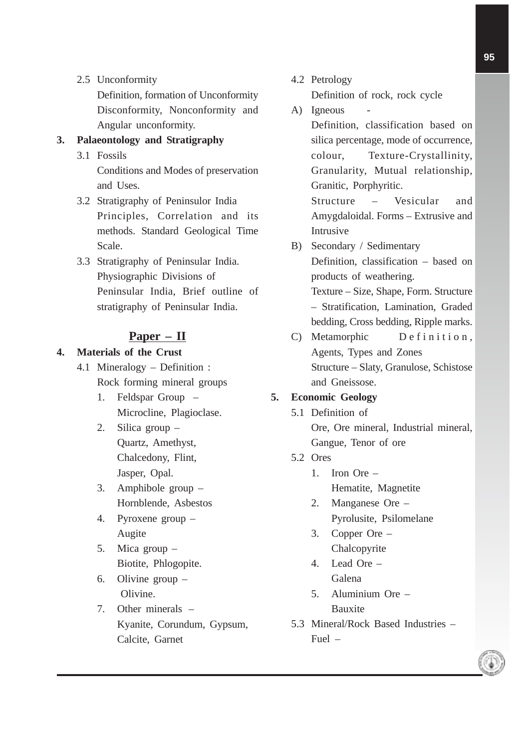2.5 Unconformity

Definition, formation of Unconformity Disconformity, Nonconformity and Angular unconformity.

#### **3. Palaeontology and Stratigraphy**

3.1 Fossils

Conditions and Modes of preservation and Uses.

- 3.2 Stratigraphy of Peninsulor India Principles, Correlation and its methods. Standard Geological Time Scale.
- 3.3 Stratigraphy of Peninsular India. Physiographic Divisions of Peninsular India, Brief outline of stratigraphy of Peninsular India.

#### **Paper – II**

#### **4. Materials of the Crust**

- 4.1 Mineralogy Definition : Rock forming mineral groups
	- 1. Feldspar Group Microcline, Plagioclase.
	- 2. Silica group Quartz, Amethyst, Chalcedony, Flint, Jasper, Opal.
	- 3. Amphibole group Hornblende, Asbestos
	- 4. Pyroxene group Augite
	- 5. Mica group Biotite, Phlogopite.
	- 6. Olivine group Olivine.
	- 7. Other minerals Kyanite, Corundum, Gypsum, Calcite, Garnet
- 4.2 Petrology Definition of rock, rock cycle
- A) Igneous Definition, classification based on silica percentage, mode of occurrence, colour, Texture-Crystallinity, Granularity, Mutual relationship, Granitic, Porphyritic.

Structure – Vesicular and Amygdaloidal. Forms – Extrusive and Intrusive

- B) Secondary / Sedimentary Definition, classification – based on products of weathering. Texture – Size, Shape, Form. Structure – Stratification, Lamination, Graded
- bedding, Cross bedding, Ripple marks. C) Metamorphic Definition, Agents, Types and Zones Structure – Slaty, Granulose, Schistose and Gneissose.

#### **5. Economic Geology**

- 5.1 Definition of Ore, Ore mineral, Industrial mineral, Gangue, Tenor of ore
- 5.2 Ores
	- 1. Iron Ore Hematite, Magnetite
	- 2. Manganese Ore Pyrolusite, Psilomelane
	- 3. Copper Ore Chalcopyrite
	- 4. Lead Ore Galena
	- 5. Aluminium Ore Bauxite
- 5.3 Mineral/Rock Based Industries Fuel –

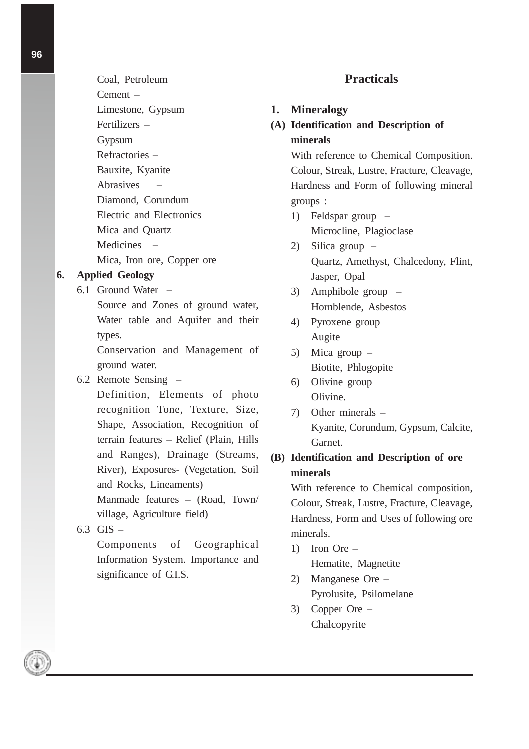- Coal, Petroleum Cement – Limestone, Gypsum Fertilizers – Gypsum Refractories – Bauxite, Kyanite Abrasives – Diamond, Corundum Electric and Electronics Mica and Quartz
- Medicines –
- Mica, Iron ore, Copper ore

#### **6. Applied Geology**

6.1 Ground Water –

Source and Zones of ground water, Water table and Aquifer and their types.

Conservation and Management of ground water.

#### 6.2 Remote Sensing –

Definition, Elements of photo recognition Tone, Texture, Size, Shape, Association, Recognition of terrain features – Relief (Plain, Hills and Ranges), Drainage (Streams, River), Exposures- (Vegetation, Soil and Rocks, Lineaments) Manmade features – (Road, Town/ village, Agriculture field)

6.3 GIS –

Components of Geographical Information System. Importance and significance of G.I.S.

# **Practicals**

#### **1. Mineralogy**

**(A) Identification and Description of minerals**

> With reference to Chemical Composition. Colour, Streak, Lustre, Fracture, Cleavage, Hardness and Form of following mineral groups :

- 1) Feldspar group Microcline, Plagioclase
- 2) Silica group Quartz, Amethyst, Chalcedony, Flint, Jasper, Opal
- 3) Amphibole group Hornblende, Asbestos
- 4) Pyroxene group Augite
- 5) Mica group Biotite, Phlogopite
- 6) Olivine group Olivine.
- 7) Other minerals Kyanite, Corundum, Gypsum, Calcite, Garnet.

# **(B) Identification and Description of ore minerals**

With reference to Chemical composition, Colour, Streak, Lustre, Fracture, Cleavage, Hardness, Form and Uses of following ore minerals.

- 1) Iron Ore Hematite, Magnetite
- 2) Manganese Ore Pyrolusite, Psilomelane
- 3) Copper Ore Chalcopyrite